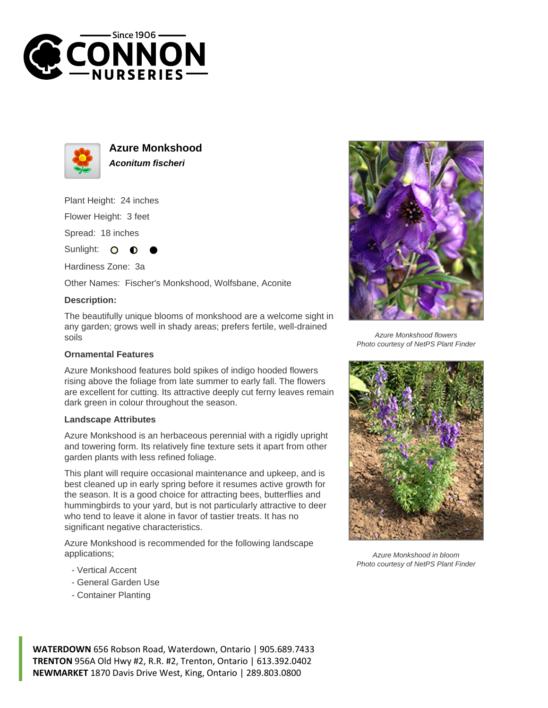



**Azure Monkshood Aconitum fischeri**

Plant Height: 24 inches

Flower Height: 3 feet

Spread: 18 inches

Sunlight: O

Hardiness Zone: 3a

Other Names: Fischer's Monkshood, Wolfsbane, Aconite

## **Description:**

The beautifully unique blooms of monkshood are a welcome sight in any garden; grows well in shady areas; prefers fertile, well-drained soils

## **Ornamental Features**

Azure Monkshood features bold spikes of indigo hooded flowers rising above the foliage from late summer to early fall. The flowers are excellent for cutting. Its attractive deeply cut ferny leaves remain dark green in colour throughout the season.

## **Landscape Attributes**

Azure Monkshood is an herbaceous perennial with a rigidly upright and towering form. Its relatively fine texture sets it apart from other garden plants with less refined foliage.

This plant will require occasional maintenance and upkeep, and is best cleaned up in early spring before it resumes active growth for the season. It is a good choice for attracting bees, butterflies and hummingbirds to your yard, but is not particularly attractive to deer who tend to leave it alone in favor of tastier treats. It has no significant negative characteristics.

Azure Monkshood is recommended for the following landscape applications;

- Vertical Accent
- General Garden Use
- Container Planting



Azure Monkshood flowers Photo courtesy of NetPS Plant Finder



Azure Monkshood in bloom Photo courtesy of NetPS Plant Finder

**WATERDOWN** 656 Robson Road, Waterdown, Ontario | 905.689.7433 **TRENTON** 956A Old Hwy #2, R.R. #2, Trenton, Ontario | 613.392.0402 **NEWMARKET** 1870 Davis Drive West, King, Ontario | 289.803.0800